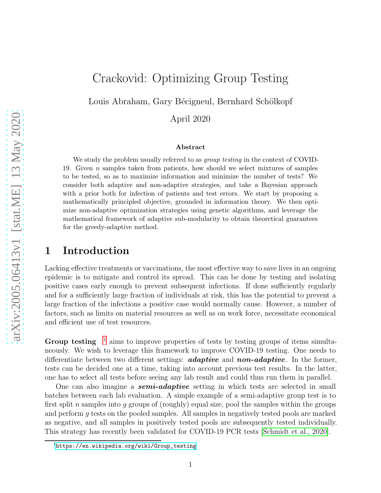# Crackovid: Optimizing Group Testing

Louis Abraham, Gary Bécigneul, Bernhard Schölkopf

April 2020

#### Abstract

We study the problem usually referred to as *group testing* in the context of COVID-19. Given n samples taken from patients, how should we select mixtures of samples to be tested, so as to maximize information and minimize the number of tests? We consider both adaptive and non-adaptive strategies, and take a Bayesian approach with a prior both for infection of patients and test errors. We start by proposing a mathematically principled objective, grounded in information theory. We then optimize non-adaptive optimization strategies using genetic algorithms, and leverage the mathematical framework of adaptive sub-modularity to obtain theoretical guarantees for the greedy-adaptive method.

### 1 Introduction

Lacking effective treatments or vaccinations, the most effective way to save lives in an ongoing epidemic is to mitigate and control its spread. This can be done by testing and isolating positive cases early enough to prevent subsequent infections. If done sufficiently regularly and for a sufficiently large fraction of individuals at risk, this has the potential to prevent a large fraction of the infections a positive case would normally cause. However, a number of factors, such as limits on material resources as well as on work force, necessitate economical and efficient use of test resources.

Group testing  $1$  aims to improve properties of tests by testing groups of items simultaneously. We wish to leverage this framework to improve COVID-19 testing. One needs to differentiate between two different settings: **adaptive** and **non-adaptive**. In the former, tests can be decided one at a time, taking into account previous test results. In the latter, one has to select all tests before seeing any lab result and could thus run them in parallel.

One can also imagine a **semi-adaptive** setting in which tests are selected in small batches between each lab evaluation. A simple example of a semi-adaptive group test is to first split n samples into q groups of (roughly) equal size, pool the samples within the groups and perform g tests on the pooled samples. All samples in negatively tested pools are marked as negative, and all samples in positively tested pools are subsequently tested individually. This strategy has recently been validated for COVID-19 PCR tests [\[Schmidt et al., 2020\]](#page-9-0).

<span id="page-0-0"></span> $1$ [https://en.wikipedia.org/wiki/Group\\_testing](https://en.wikipedia.org/wiki/Group_testing)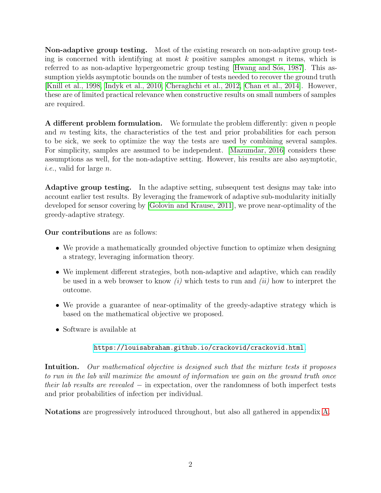Non-adaptive group testing. Most of the existing research on non-adaptive group testing is concerned with identifying at most  $k$  positive samples amongst  $n$  items, which is referred to as non-adaptive hypergeometric group testing [Hwang and Sós, 1987]. This assumption yields asymptotic bounds on the number of tests needed to recover the ground truth [\[Knill et al., 1998,](#page-9-2) [Indyk et al., 2010,](#page-9-3) [Cheraghchi et al., 2012,](#page-9-4) Chan et [al., 2014\]](#page-9-5). However, these are of limited practical relevance when constructive results on small numbers of samples are required.

A different problem formulation. We formulate the problem differently: given n people and m testing kits, the characteristics of the test and prior probabilities for each person to be sick, we seek to optimize the way the tests are used by combining several samples. For simplicity, samples are assumed to be independent. [\[Mazumdar, 2016\]](#page-9-6) considers these assumptions as well, for the non-adaptive setting. However, his results are also asymptotic, *i.e.*, valid for large n.

Adaptive group testing. In the adaptive setting, subsequent test designs may take into account earlier test results. By leveraging the framework of adaptive sub-modularity initially developed for sensor covering by [\[Golovin and Krause, 2011\]](#page-9-7), we prove near-optimality of the greedy-adaptive strategy.

Our contributions are as follows:

- We provide a mathematically grounded objective function to optimize when designing a strategy, leveraging information theory.
- We implement different strategies, both non-adaptive and adaptive, which can readily be used in a web browser to know *(i)* which tests to run and *(ii)* how to interpret the outcome.
- We provide a guarantee of near-optimality of the greedy-adaptive strategy which is based on the mathematical objective we proposed.
- Software is available at

#### <https://louisabraham.github.io/crackovid/crackovid.html>.

Intuition. *Our mathematical objective is designed such that the mixture tests it proposes to run in the lab will maximize the amount of information we gain on the ground truth once their lab results are revealed* − in expectation, over the randomness of both imperfect tests and prior probabilities of infection per individual.

Notations are progressively introduced throughout, but also all gathered in appendix [A.](#page-11-0)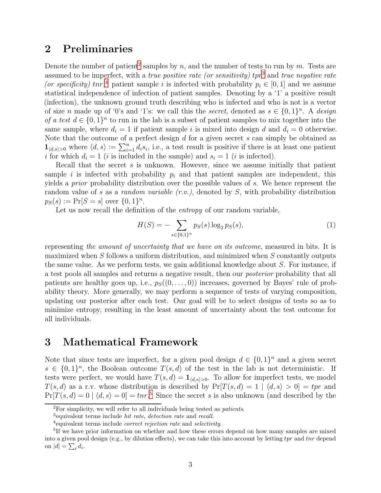### 2 Preliminaries

Denote the number of patient<sup>[2](#page-2-0)</sup> samples by n, and the number of tests to run by m. Tests are assumed to be imperfect, with a *true positive rate (or sensitivity)* tpr[3](#page-2-1) and *true negative rate* (or specificity)  $tr^4$  $tr^4$  patient sample i is infected with probability  $p_i \in [0, 1]$  and we assume statistical independence of infection of patient samples. Denoting by a '1' a positive result (infection), the unknown ground truth describing who is infected and who is not is a vector of size *n* made up of '0's and '1's: we call this the *secret*, denoted as  $s \in \{0,1\}^n$ . A *design of a test*  $d \in \{0,1\}^n$  to run in the lab is a subset of patient samples to mix together into the same sample, where  $d_i = 1$  if patient sample i is mixed into design d and  $d_i = 0$  otherwise. Note that the outcome of a perfect design d for a given secret s can simply be obtained as  $\mathbf{1}_{\langle d,s\rangle>0}$  where  $\langle d,s\rangle := \sum_{i=1}^n d_i s_i$ , i.e., a test result is positive if there is at least one patient i for which  $d_i = 1$  (i is included in the sample) and  $s_i = 1$  (i is infected).

Recall that the secret  $s$  is unknown. However, since we assume initially that patient sample i is infected with probability  $p_i$  and that patient samples are independent, this yields a *prior* probability distribution over the possible values of s. We hence represent the random value of s as a *random variable (r.v.)*, denoted by S, with probability distribution  $p_S(s) := Pr[S = s]$  over  $\{0, 1\}^n$ .

Let us now recall the definition of the *entropy* of our random variable,

$$
H(S) = -\sum_{s \in \{0,1\}^n} p_S(s) \log_2 p_S(s),\tag{1}
$$

representing *the amount of uncertainty that we have on its outcome*, measured in bits. It is maximized when S follows a uniform distribution, and minimized when S constantly outputs the same value. As we perform tests, we gain additional knowledge about S. For instance, if a test pools all samples and returns a negative result, then our *posterior* probability that all patients are healthy goes up, i.e.,  $p_S((0, \ldots, 0))$  increases, governed by Bayes' rule of probability theory. More generally, we may perform a sequence of tests of varying composition, updating our posterior after each test. Our goal will be to select designs of tests so as to minimize entropy, resulting in the least amount of uncertainty about the test outcome for all individuals.

### 3 Mathematical Framework

Note that since tests are imperfect, for a given pool design  $d \in \{0,1\}^n$  and a given secret  $s \in \{0,1\}^n$ , the Boolean outcome  $T(s, d)$  of the test in the lab is not deterministic. If tests were perfect, we would have  $T(s, d) = \mathbf{1}_{\{d, s\} > 0}$ . To allow for imperfect tests, we model  $T(s, d)$  as a r.v. whose distribution is described by  $Pr[T(s, d) = 1 | \langle d, s \rangle > 0] = tpr$  and  $Pr[T(s, d) = 0 \mid \langle d, s \rangle = 0] = \text{tnr.}^5$  $Pr[T(s, d) = 0 \mid \langle d, s \rangle = 0] = \text{tnr.}^5$  Since the secret s is also unknown (and described by the

 ${}^{2}$ For simplicity, we will refer to all individuals being tested as *patients*.

<span id="page-2-0"></span><sup>3</sup> equivalent terms include hit rate, detection rate and recall.

<span id="page-2-2"></span><span id="page-2-1"></span><sup>4</sup> equivalent terms include correct rejection rate and selectivity.

<span id="page-2-3"></span><sup>&</sup>lt;sup>5</sup>If we have prior information on whether and how these errors depend on how many samples are mixed into a given pool design (e.g., by dilution effects), we can take this into account by letting  $tpr$  and  $tnr$  depend on  $|d| = \sum_i d_i$ .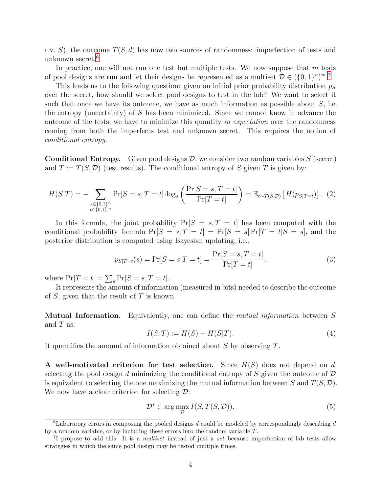r.v. S), the outcome  $T(S, d)$  has now two sources of randomness: imperfection of tests and unknown secret.[6](#page-3-0)

In practice, one will not run one test but multiple tests. We now suppose that  $m$  tests of pool designs are run and let their designs be represented as a multiset  $\mathcal{D} \in (\{0,1\}^n)^m$ .<sup>[7](#page-3-1)</sup>

This leads us to the following question: given an initial prior probability distribution  $p<sub>S</sub>$ over the secret, how should we select pool designs to test in the lab? We want to select it such that once we have its outcome, we have as much information as possible about  $S$ , i.e. the entropy (uncertainty) of S has been minimized. Since we cannot know in advance the outcome of the tests, we have to minimize this quantity *in expectation* over the randomness coming from both the imperfects test and unknown secret. This requires the notion of *conditional entropy*.

<span id="page-3-4"></span>**Conditional Entropy.** Given pool designs  $\mathcal{D}$ , we consider two random variables  $S$  (secret) and  $T := T(S, \mathcal{D})$  (test results). The conditional entropy of S given T is given by:

$$
H(S|T) = -\sum_{\substack{s \in \{0,1\}^n \\ t \in \{0,1\}^m}} \Pr[S = s, T = t] \cdot \log_2 \left( \frac{\Pr[S = s, T = t]}{\Pr[T = t]} \right) = \mathbb{E}_{t \sim T(S, \mathcal{D})} \left[ H(p_{S|T=t}) \right]. \tag{2}
$$

In this formula, the joint probability  $Pr[S = s, T = t]$  has been computed with the conditional probability formula  $Pr[S = s, T = t] = Pr[S = s] Pr[T = t|S = s]$ , and the posterior distribution is computed using Bayesian updating, i.e.,

<span id="page-3-3"></span>
$$
p_{S|T=t}(s) = \Pr[S = s | T = t] = \frac{\Pr[S = s, T = t]}{\Pr[T = t]},
$$
\n(3)

where  $Pr[T = t] = \sum_{s} Pr[S = s, T = t].$ 

It represents the amount of information (measured in bits) needed to describe the outcome of  $S$ , given that the result of  $T$  is known.

Mutual Information. Equivalently, one can define the *mutual information* between S and  $T$  as:

$$
I(S, T) := H(S) - H(S|T).
$$
\n(4)

It quantifies the amount of information obtained about S by observing T.

A well-motivated criterion for test selection. Since  $H(S)$  does not depend on d, selecting the pool design d minimizing the conditional entropy of S given the outcome of  $\mathcal D$ is equivalent to selecting the one maximizing the mutual information between S and  $T(S, \mathcal{D})$ . We now have a clear criterion for selecting  $\mathcal{D}$ :

<span id="page-3-2"></span>
$$
\mathcal{D}^* \in \arg\max_{\mathcal{D}} I(S, T(S, \mathcal{D})).
$$
\n<sup>(5)</sup>

<span id="page-3-0"></span> $6$ Laboratory errors in composing the pooled designs d could be modeled by correspondingly describing d by a random variable, or by including these errors into the random variable  $T$ .

<span id="page-3-1"></span><sup>&</sup>lt;sup>7</sup>I propose to add this: It is a *multiset* instead of just a set because imperfection of lab tests allow strategies in which the same pool design may be tested multiple times.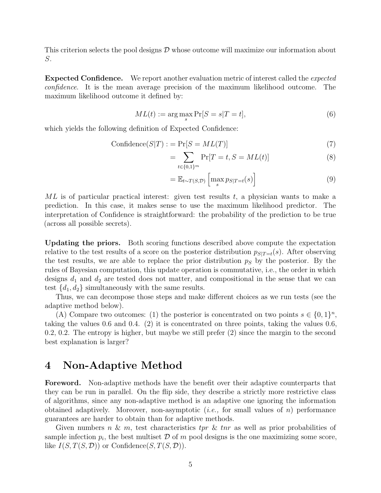This criterion selects the pool designs  $\mathcal D$  whose outcome will maximize our information about S.

Expected Confidence. We report another evaluation metric of interest called the *expected confidence*. It is the mean average precision of the maximum likelihood outcome. The maximum likelihood outcome it defined by:

$$
ML(t) := \arg\max_{s} \Pr[S = s | T = t],\tag{6}
$$

which yields the following definition of Expected Confidence:

$$
Confidence(S|T) := Pr[S = ML(T)] \tag{7}
$$

$$
= \sum_{t \in \{0,1\}^m} \Pr[T = t, S = ML(t)] \tag{8}
$$

$$
= \mathbb{E}_{t \sim T(S, \mathcal{D})} \left[ \max_{s} p_{S|T=t}(s) \right]
$$
 (9)

 $ML$  is of particular practical interest: given test results  $t$ , a physician wants to make a prediction. In this case, it makes sense to use the maximum likelihood predictor. The interpretation of Confidence is straightforward: the probability of the prediction to be true (across all possible secrets).

Updating the priors. Both scoring functions described above compute the expectation relative to the test results of a score on the posterior distribution  $p_{S|T=t}(s)$ . After observing the test results, we are able to replace the prior distribution  $p<sub>S</sub>$  by the posterior. By the rules of Bayesian computation, this update operation is commutative, i.e., the order in which designs  $d_1$  and  $d_2$  are tested does not matter, and compositional in the sense that we can test  $\{d_1, d_2\}$  simultaneously with the same results.

Thus, we can decompose those steps and make different choices as we run tests (see the adaptive method below).

(A) Compare two outcomes: (1) the posterior is concentrated on two points  $s \in \{0,1\}^n$ , taking the values 0.6 and 0.4. (2) it is concentrated on three points, taking the values 0.6, 0.2, 0.2. The entropy is higher, but maybe we still prefer (2) since the margin to the second best explanation is larger?

### 4 Non-Adaptive Method

Foreword. Non-adaptive methods have the benefit over their adaptive counterparts that they can be run in parallel. On the flip side, they describe a strictly more restrictive class of algorithms, since any non-adaptive method is an adaptive one ignoring the information obtained adaptively. Moreover, non-asymptotic (*i.e.,* for small values of n) performance guarantees are harder to obtain than for adaptive methods.

Given numbers n & m, test characteristics tpr & tnr as well as prior probabilities of sample infection  $p_i$ , the best multiset  $D$  of  $m$  pool designs is the one maximizing some score, like  $I(S, T(S, \mathcal{D}))$  or Confidence $(S, T(S, \mathcal{D})).$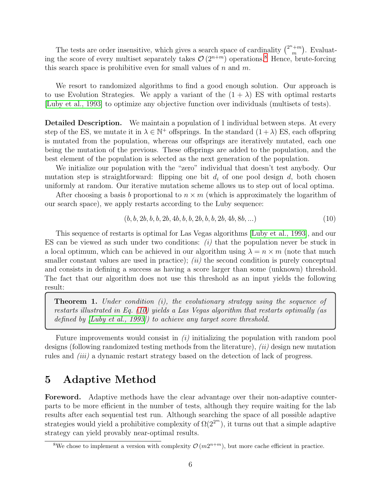The tests are order insensitive, which gives a search space of cardinality  $\binom{2^n+m}{m}$  $\binom{m}{m}$ . Evaluating the score of every multiset separately takes  $\mathcal{O}(2^{n+m})$  operations.<sup>[8](#page-5-0)</sup> Hence, brute-forcing this search space is prohibitive even for small values of  $n$  and  $m$ .

We resort to randomized algorithms to find a good enough solution. Our approach is to use Evolution Strategies. We apply a variant of the  $(1 + \lambda)$  ES with optimal restarts [\[Luby et al., 1993\]](#page-9-8) to optimize any objective function over individuals (multisets of tests).

Detailed Description. We maintain a population of 1 individual between steps. At every step of the ES, we mutate it in  $\lambda \in \mathbb{N}^+$  offsprings. In the standard  $(1 + \lambda)$  ES, each offspring is mutated from the population, whereas our offsprings are iteratively mutated, each one being the mutation of the previous. These offsprings are added to the population, and the best element of the population is selected as the next generation of the population.

We initialize our population with the "zero" individual that doesn't test anybody. Our mutation step is straightforward: flipping one bit  $d_i$  of one pool design  $d$ , both chosen uniformly at random. Our iterative mutation scheme allows us to step out of local optima.

After choosing a basis b proportional to  $n \times m$  (which is approximately the logarithm of our search space), we apply restarts according to the Luby sequence:

<span id="page-5-1"></span>
$$
(b, b, 2b, b, b, 2b, 4b, b, b, 2b, b, b, 2b, 4b, 8b, \ldots)
$$
\n
$$
(10)
$$

This sequence of restarts is optimal for Las Vegas algorithms [Luby [et al., 1993\]](#page-9-8), and our ES can be viewed as such under two conditions: *(i)* that the population never be stuck in a local optimum, which can be achieved in our algorithm using  $\lambda = n \times m$  (note that much smaller constant values are used in practice); *(ii)* the second condition is purely conceptual and consists in defining a success as having a score larger than some (unknown) threshold. The fact that our algorithm does not use this threshold as an input yields the following result:

Theorem 1. *Under condition (i), the evolutionary strategy using the sequence of restarts illustrated in Eq. [\(10\)](#page-5-1) yields a Las Vegas algorithm that restarts optimally (as defined by [\[Luby et al., 1993\]](#page-9-8)) to achieve any target score threshold.*

Future improvements would consist in *(i)* initializing the population with random pool designs (following randomized testing methods from the literature), *(ii)* design new mutation rules and *(iii)* a dynamic restart strategy based on the detection of lack of progress.

### 5 Adaptive Method

Foreword. Adaptive methods have the clear advantage over their non-adaptive counterparts to be more efficient in the number of tests, although they require waiting for the lab results after each sequential test run. Although searching the space of all possible adaptive strategies would yield a prohibitive complexity of  $\Omega(2^{2^m})$ , it turns out that a simple adaptive strategy can yield provably near-optimal results.

<span id="page-5-0"></span><sup>&</sup>lt;sup>8</sup>We chose to implement a version with complexity  $\mathcal{O}(m2^{n+m})$ , but more cache efficient in practice.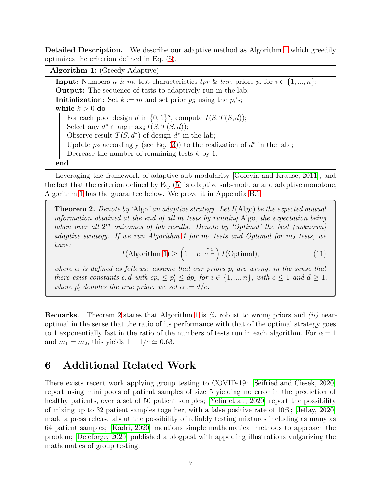Detailed Description. We describe our adaptive method as Algorithm [1](#page-6-0) which greedily optimizes the criterion defined in Eq. [\(5\)](#page-3-2).

Algorithm 1: (Greedy-Adaptive)

**Input:** Numbers  $n \& m$ , test characteristics  $tr \& trr$ , priors  $p_i$  for  $i \in \{1, ..., n\}$ ; Output: The sequence of tests to adaptively run in the lab; **Initialization:** Set  $k := m$  and set prior  $p_S$  using the  $p_i$ 's; while  $k > 0$  do For each pool design d in  $\{0,1\}^n$ , compute  $I(S,T(S,d))$ ; Select any  $d^* \in \arg \max_d I(S, T(S, d));$ Observe result  $T(S, d^*)$  of design  $d^*$  in the lab; Update  $p<sub>S</sub>$  accordingly (see Eq. [\(3\)](#page-3-3)) to the realization of  $d^*$  in the lab; Decrease the number of remaining tests  $k$  by 1; end

<span id="page-6-0"></span>Leveraging the framework of adaptive sub-modularity [\[Golovin and Krause, 2011\]](#page-9-7), and the fact that the criterion defined by Eq. [\(5\)](#page-3-2) is adaptive sub-modular and adaptive monotone, Algorithm [1](#page-6-0) has the guarantee below. We prove it in Appendix [B.1.](#page-11-1)

Theorem 2. *Denote by '*Algo*' an adaptive strategy. Let* I(Algo) *be the expected mutual information obtained at the end of all* m *tests by running* Algo*, the expectation being taken over all* 2 <sup>m</sup> *outcomes of lab results. Denote by 'Optimal' the best (unknown) adaptive strategy.* If we run Algorithm [1](#page-6-0) for  $m_1$  tests and Optimal for  $m_2$  tests, we *have:*

$$
I(\text{Algorithm 1}) \ge \left(1 - e^{-\frac{m_1}{\alpha m_2}}\right) I(\text{Optimal}),\tag{11}
$$

<span id="page-6-1"></span>*where*  $\alpha$  *is defined as follows: assume that our priors*  $p_i$  *are wrong, in the sense that there exist constants* c, d with  $cp_i \leq p'_i \leq dp_i$  for  $i \in \{1, ..., n\}$ , with  $c \leq 1$  and  $d \geq 1$ , *where*  $p'_i$  denotes the true prior: we set  $\alpha := d/c$ .

Remarks. Theorem [2](#page-6-1) states that Algorithm [1](#page-6-0) is *(i)* robust to wrong priors and *(ii)* nearoptimal in the sense that the ratio of its performance with that of the optimal strategy goes to 1 exponentially fast in the ratio of the numbers of tests run in each algorithm. For  $\alpha = 1$ and  $m_1 = m_2$ , this yields  $1 - 1/e \simeq 0.63$ .

## 6 Additional Related Work

There exists recent work applying group testing to COVID-19: [\[Seifried and Ciesek, 2020\]](#page-10-0) report using mini pools of patient samples of size 5 yielding no error in the prediction of healthy patients, over a set of 50 patient samples; [\[Yelin et al., 2020\]](#page-10-1) report the possibility of mixing up to 32 patient samples together, with a false positive rate of 10%; [\[Jeffay, 2020\]](#page-9-9) made a press release about the possibility of reliably testing mixtures including as many as 64 patient samples; [\[Kadri, 2020\]](#page-9-10) mentions simple mathematical methods to approach the problem; [\[Deleforge, 2020\]](#page-9-11) published a blogpost with appealing illustrations vulgarizing the mathematics of group testing.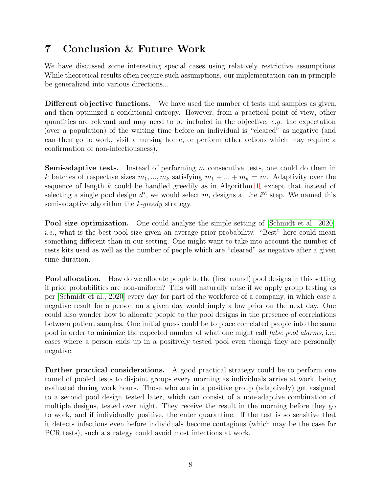## 7 Conclusion & Future Work

We have discussed some interesting special cases using relatively restrictive assumptions. While theoretical results often require such assumptions, our implementation can in principle be generalized into various directions...

Different objective functions. We have used the number of tests and samples as given, and then optimized a conditional entropy. However, from a practical point of view, other quantities are relevant and may need to be included in the objective, *e.g.* the expectation (over a population) of the waiting time before an individual is "cleared" as negative (and can then go to work, visit a nursing home, or perform other actions which may require a confirmation of non-infectiousness).

**Semi-adaptive tests.** Instead of performing  $m$  consecutive tests, one could do them in k batches of respective sizes  $m_1, ..., m_k$  satisfying  $m_1 + ... + m_k = m$ . Adaptivity over the sequence of length k could be handled greedily as in Algorithm [1,](#page-6-0) except that instead of selecting a single pool design  $d^*$ , we would select  $m_i$  designs at the  $i^{th}$  step. We named this semi-adaptive algorithm the *k-greedy* strategy.

Pool size optimization. One could analyze the simple setting of [\[Schmidt et al., 2020\]](#page-9-0), *i.e.*, what is the best pool size given an average prior probability. "Best" here could mean something different than in our setting. One might want to take into account the number of tests kits used as well as the number of people which are "cleared" as negative after a given time duration.

Pool allocation. How do we allocate people to the (first round) pool designs in this setting if prior probabilities are non-uniform? This will naturally arise if we apply group testing as per [\[Schmidt et al., 2020\]](#page-9-0) every day for part of the workforce of a company, in which case a negative result for a person on a given day would imply a low prior on the next day. One could also wonder how to allocate people to the pool designs in the presence of correlations between patient samples. One initial guess could be to place correlated people into the same pool in order to minimize the expected number of what one might call *false pool alarms*, i.e., cases where a person ends up in a positively tested pool even though they are personally negative.

Further practical considerations. A good practical strategy could be to perform one round of pooled tests to disjoint groups every morning as individuals arrive at work, being evaluated during work hours. Those who are in a positive group (adaptively) get assigned to a second pool design tested later, which can consist of a non-adaptive combination of multiple designs, tested over night. They receive the result in the morning before they go to work, and if individually positive, the enter quarantine. If the test is so sensitive that it detects infections even before individuals become contagious (which may be the case for PCR tests), such a strategy could avoid most infections at work.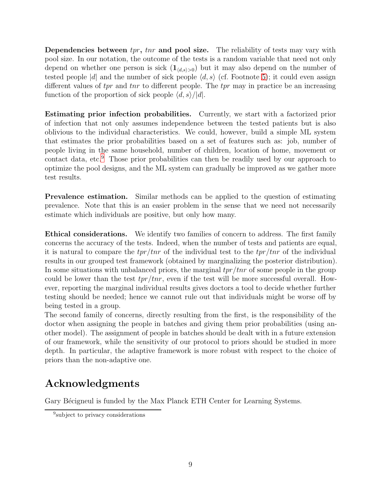**Dependencies between**  $trr$ **,**  $trr$  **and pool size.** The reliability of tests may vary with pool size. In our notation, the outcome of the tests is a random variable that need not only depend on whether one person is sick  $(1_{\langle d,s\rangle>0})$  but it may also depend on the number of tested people |d| and the number of sick people  $\langle d, s \rangle$  (cf. Footnote [5\)](#page-2-3); it could even assign different values of tpr and tnr to different people. The tpr may in practice be an increasing function of the proportion of sick people  $\langle d, s \rangle / |d|$ .

Estimating prior infection probabilities. Currently, we start with a factorized prior of infection that not only assumes independence between the tested patients but is also oblivious to the individual characteristics. We could, however, build a simple ML system that estimates the prior probabilities based on a set of features such as: job, number of people living in the same household, number of children, location of home, movement or contact data, etc.[9](#page-8-0) Those prior probabilities can then be readily used by our approach to optimize the pool designs, and the ML system can gradually be improved as we gather more test results.

Prevalence estimation. Similar methods can be applied to the question of estimating prevalence. Note that this is an easier problem in the sense that we need not necessarily estimate which individuals are positive, but only how many.

Ethical considerations. We identify two families of concern to address. The first family concerns the accuracy of the tests. Indeed, when the number of tests and patients are equal, it is natural to compare the  $tpr/tnr$  of the individual test to the  $tpr/tnr$  of the individual results in our grouped test framework (obtained by marginalizing the posterior distribution). In some situations with unbalanced priors, the marginal  $tpr/tnr$  of some people in the group could be lower than the test  $tpr/tnr$ , even if the test will be more successful overall. However, reporting the marginal individual results gives doctors a tool to decide whether further testing should be needed; hence we cannot rule out that individuals might be worse off by being tested in a group.

The second family of concerns, directly resulting from the first, is the responsibility of the doctor when assigning the people in batches and giving them prior probabilities (using another model). The assignment of people in batches should be dealt with in a future extension of our framework, while the sensitivity of our protocol to priors should be studied in more depth. In particular, the adaptive framework is more robust with respect to the choice of priors than the non-adaptive one.

# Acknowledgments

Gary Bécigneul is funded by the Max Planck ETH Center for Learning Systems.

<span id="page-8-0"></span><sup>&</sup>lt;sup>9</sup>subject to privacy considerations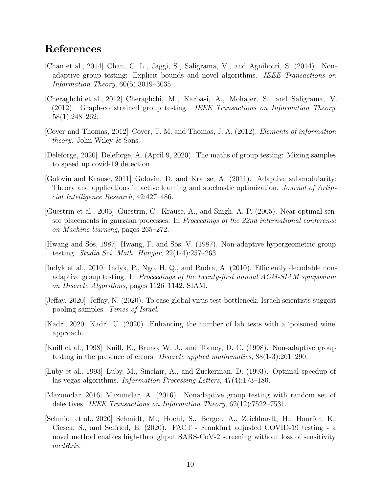### References

- <span id="page-9-5"></span>[Chan et al., 2014] Chan, C. L., Jaggi, S., Saligrama, V., and Agnihotri, S. (2014). Nonadaptive group testing: Explicit bounds and novel algorithms. *IEEE Transactions on Information Theory*, 60(5):3019–3035.
- <span id="page-9-4"></span>[Cheraghchi et al., 2012] Cheraghchi, M., Karbasi, A., Mohajer, S., and Saligrama, V. (2012). Graph-constrained group testing. *IEEE Transactions on Information Theory*, 58(1):248–262.
- <span id="page-9-12"></span>[Cover and Thomas, 2012] Cover, T. M. and Thomas, J. A. (2012). *Elements of information theory*. John Wiley & Sons.
- <span id="page-9-11"></span>[Deleforge, 2020] Deleforge, A. (April 9, 2020). The maths of group testing: Mixing samples to speed up covid-19 detection.
- <span id="page-9-7"></span>[Golovin and Krause, 2011] Golovin, D. and Krause, A. (2011). Adaptive submodularity: Theory and applications in active learning and stochastic optimization. *Journal of Artificial Intelligence Research*, 42:427–486.
- <span id="page-9-13"></span>[Guestrin et al., 2005] Guestrin, C., Krause, A., and Singh, A. P. (2005). Near-optimal sensor placements in gaussian processes. In *Proceedings of the 22nd international conference on Machine learning*, pages 265–272.
- <span id="page-9-1"></span>[Hwang and Sós, 1987] Hwang, F. and Sós, V. (1987). Non-adaptive hypergeometric group testing. *Studia Sci. Math. Hungar*, 22(1-4):257–263.
- <span id="page-9-3"></span>[Indyk et al., 2010] Indyk, P., Ngo, H. Q., and Rudra, A. (2010). Efficiently decodable nonadaptive group testing. In *Proceedings of the twenty-first annual ACM-SIAM symposium on Discrete Algorithms*, pages 1126–1142. SIAM.
- <span id="page-9-9"></span>[Jeffay, 2020] Jeffay, N. (2020). To ease global virus test bottleneck, Israeli scientists suggest pooling samples. *Times of Israel*.
- <span id="page-9-10"></span>[Kadri, 2020] Kadri, U. (2020). Enhancing the number of lab tests with a 'poisoned wine' approach.
- <span id="page-9-2"></span>[Knill et al., 1998] Knill, E., Bruno, W. J., and Torney, D. C. (1998). Non-adaptive group testing in the presence of errors. *Discrete applied mathematics*, 88(1-3):261–290.
- <span id="page-9-8"></span>[Luby et al., 1993] Luby, M., Sinclair, A., and Zuckerman, D. (1993). Optimal speedup of las vegas algorithms. *Information Processing Letters*, 47(4):173–180.
- <span id="page-9-6"></span>[Mazumdar, 2016] Mazumdar, A. (2016). Nonadaptive group testing with random set of defectives. *IEEE Transactions on Information Theory*, 62(12):7522–7531.
- <span id="page-9-0"></span>[Schmidt et al., 2020] Schmidt, M., Hoehl, S., Berger, A., Zeichhardt, H., Hourfar, K., Ciesek, S., and Seifried, E. (2020). FACT - Frankfurt adjusted COVID-19 testing - a novel method enables high-throughput SARS-CoV-2 screening without loss of sensitivity. *medRxiv*.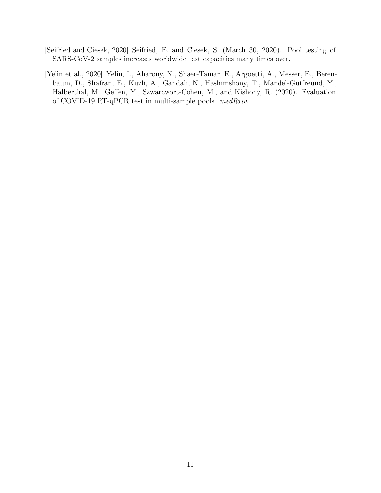- <span id="page-10-0"></span>[Seifried and Ciesek, 2020] Seifried, E. and Ciesek, S. (March 30, 2020). Pool testing of SARS-CoV-2 samples increases worldwide test capacities many times over.
- <span id="page-10-1"></span>[Yelin et al., 2020] Yelin, I., Aharony, N., Shaer-Tamar, E., Argoetti, A., Messer, E., Berenbaum, D., Shafran, E., Kuzli, A., Gandali, N., Hashimshony, T., Mandel-Gutfreund, Y., Halberthal, M., Geffen, Y., Szwarcwort-Cohen, M., and Kishony, R. (2020). Evaluation of COVID-19 RT-qPCR test in multi-sample pools. *medRxiv*.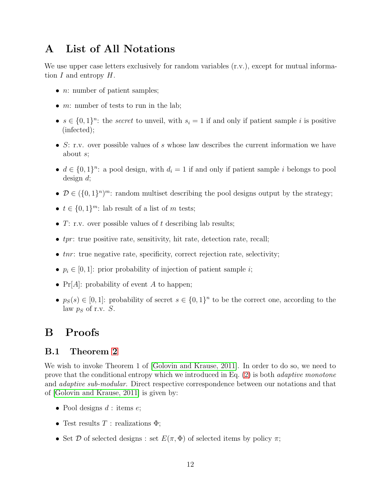### <span id="page-11-0"></span>A List of All Notations

We use upper case letters exclusively for random variables  $(r.v.)$ , except for mutual information  $I$  and entropy  $H$ .

- $n:$  number of patient samples;
- $m:$  number of tests to run in the lab;
- $s \in \{0,1\}^n$ : the *secret* to unveil, with  $s_i = 1$  if and only if patient sample i is positive (infected);
- S: r.v. over possible values of s whose law describes the current information we have about s;
- $d \in \{0,1\}^n$ : a pool design, with  $d_i = 1$  if and only if patient sample i belongs to pool design d;
- $\mathcal{D} \in (\{0,1\}^n)^m$ : random multiset describing the pool designs output by the strategy;
- $t \in \{0,1\}^m$ : lab result of a list of m tests;
- $T:$  r.v. over possible values of t describing lab results;
- $\bullet$  tpr: true positive rate, sensitivity, hit rate, detection rate, recall;
- $\bullet$  tnr: true negative rate, specificity, correct rejection rate, selectivity;
- $p_i \in [0, 1]$ : prior probability of injection of patient sample *i*;
- $Pr[A]$ : probability of event A to happen;
- $p_S(s) \in [0,1]$ : probability of secret  $s \in \{0,1\}^n$  to be the correct one, according to the law  $p_S$  of r.v.  $S$ .

### <span id="page-11-1"></span>B Proofs

#### B.1 Theorem [2](#page-6-1)

We wish to invoke Theorem 1 of [\[Golovin and Krause, 2011\]](#page-9-7). In order to do so, we need to prove that the conditional entropy which we introduced in Eq. [\(2\)](#page-3-4) is both *adaptive monotone* and *adaptive sub-modular*. Direct respective correspondence between our notations and that of [\[Golovin and Krause, 2011\]](#page-9-7) is given by:

- Pool designs  $d$ : items  $e$ ;
- Test results  $T$ : realizations  $\Phi$ ;
- Set D of selected designs : set  $E(\pi, \Phi)$  of selected items by policy  $\pi$ ;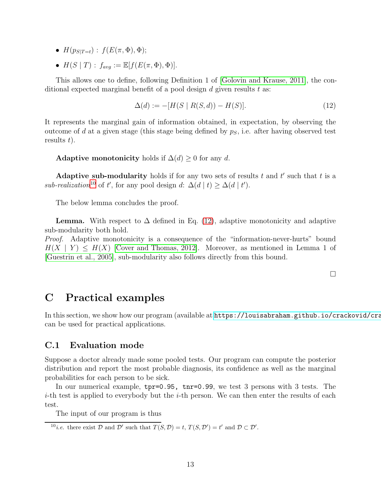- $H(p_{S|T=t})$ :  $f(E(\pi, \Phi), \Phi)$ ;
- $H(S | T)$ :  $f_{avg} := \mathbb{E}[f(E(\pi, \Phi), \Phi)].$

This allows one to define, following Definition 1 of [\[Golovin and Krause, 2011\]](#page-9-7), the conditional expected marginal benefit of a pool design  $d$  given results  $t$  as:

<span id="page-12-1"></span>
$$
\Delta(d) := -[H(S \mid R(S, d)) - H(S)]. \tag{12}
$$

It represents the marginal gain of information obtained, in expectation, by observing the outcome of d at a given stage (this stage being defined by  $p<sub>S</sub>$ , i.e. after having observed test results  $t$ ).

Adaptive monotonicity holds if  $\Delta(d) \geq 0$  for any d.

Adaptive sub-modularity holds if for any two sets of results  $t$  and  $t'$  such that  $t$  is a  $\textit{sub-realization}^{10}$  $\textit{sub-realization}^{10}$  $\textit{sub-realization}^{10}$  of t', for any pool design d:  $\Delta(d \mid t) \geq \Delta(d \mid t')$ .

The below lemma concludes the proof.

**Lemma.** With respect to  $\Delta$  defined in Eq. [\(12\)](#page-12-1), adaptive monotonicity and adaptive sub-modularity both hold.

*Proof.* Adaptive monotonicity is a consequence of the "information-never-hurts" bound  $H(X \mid Y) \leq H(X)$  Cover and Thomas, 2012. Moreover, as mentioned in Lemma 1 of [\[Guestrin et al., 2005\]](#page-9-13), sub-modularity also follows directly from this bound.

 $\Box$ 

### C Practical examples

In this section, we show how our program (available at https://louisabraham.github.io/crackovid/cra can be used for practical applications.

#### C.1 Evaluation mode

Suppose a doctor already made some pooled tests. Our program can compute the posterior distribution and report the most probable diagnosis, its confidence as well as the marginal probabilities for each person to be sick.

In our numerical example, tpr=0.95, tnr=0.99, we test 3 persons with 3 tests. The  $i$ -th test is applied to everybody but the  $i$ -th person. We can then enter the results of each test.

The input of our program is thus

<span id="page-12-0"></span><sup>&</sup>lt;sup>10</sup>*i.e.* there exist  $D$  and  $D'$  such that  $T(S, D) = t$ ,  $T(S, D') = t'$  and  $D \subset D'$ .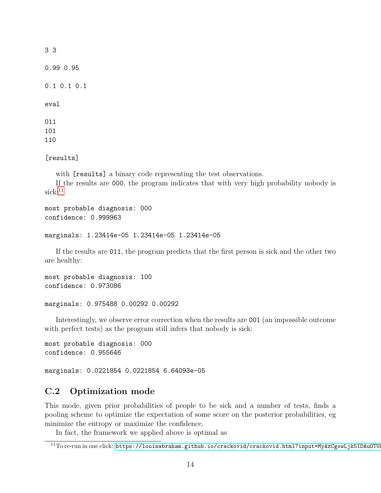| 33                |
|-------------------|
| 0.990.95          |
| $0.1$ $0.1$ $0.1$ |
| eval              |
| 011               |
| 101               |
| 110               |

[results]

with [results] a binary code representing the test observations.

If the results are 000, the program indicates that with very high probability nobody is  $sick:$ <sup>[11](#page-13-0)</sup>

```
most probable diagnosis: 000
confidence: 0.999963
```

```
marginals: 1.23414e-05 1.23414e-05 1.23414e-05
```
If the results are 011, the program predicts that the first person is sick and the other two are healthy:

```
most probable diagnosis: 100
confidence: 0.973086
```

```
marginals: 0.975488 0.00292 0.00292
```
Interestingly, we observe error correction when the results are 001 (an impossible outcome with perfect tests) as the program still infers that nobody is sick:

```
most probable diagnosis: 000
confidence: 0.955646
marginals: 0.0221854 0.0221854 6.64093e-05
```
### C.2 Optimization mode

This mode, given prior probabilities of people to be sick and a number of tests, finds a pooling scheme to optimize the expectation of some score on the posterior probabilities, eg minimize the entropy or maximize the confidence.

In fact, the framework we applied above is optimal as

<span id="page-13-0"></span><sup>&</sup>lt;sup>11</sup>To re-run in one click: https://louisabraham.github.io/crackovid/crackovid.html?input=MyAzCgowLjk5IDAuOTU